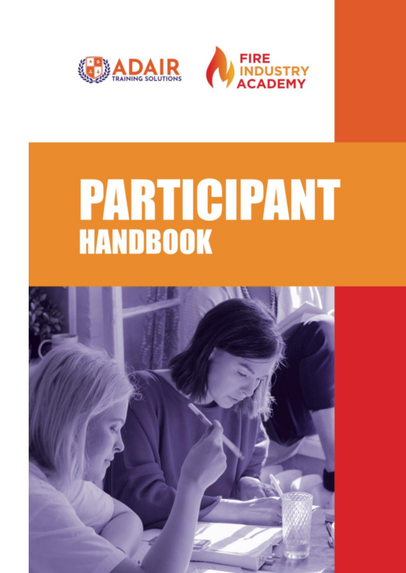



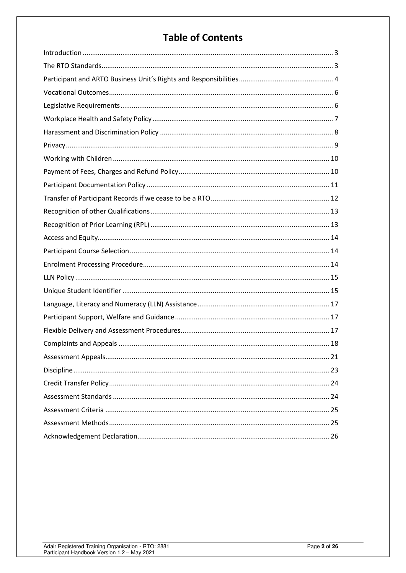# **Table of Contents**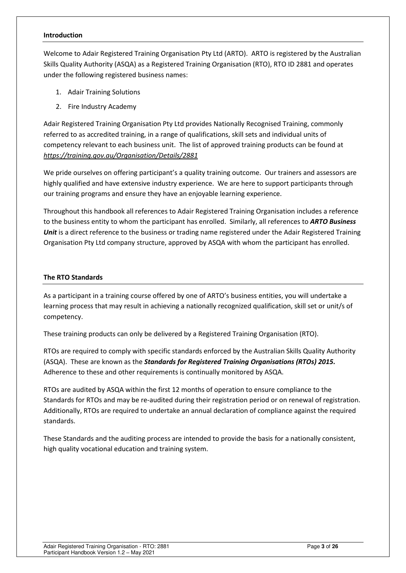#### <span id="page-2-0"></span>**Introduction**

Welcome to Adair Registered Training Organisation Pty Ltd (ARTO). ARTO is registered by the Australian Skills Quality Authority (ASQA) as a Registered Training Organisation (RTO), RTO ID 2881 and operates under the following registered business names:

- 1. Adair Training Solutions
- 2. Fire Industry Academy

Adair Registered Training Organisation Pty Ltd provides Nationally Recognised Training, commonly referred to as accredited training, in a range of qualifications, skill sets and individual units of competency relevant to each business unit. The list of approved training products can be found at *<https://training.gov.au/Organisation/Details/2881>*

We pride ourselves on offering participant's a quality training outcome. Our trainers and assessors are highly qualified and have extensive industry experience. We are here to support participants through our training programs and ensure they have an enjoyable learning experience.

Throughout this handbook all references to Adair Registered Training Organisation includes a reference to the business entity to whom the participant has enrolled. Similarly, all references to *ARTO Business Unit* is a direct reference to the business or trading name registered under the Adair Registered Training Organisation Pty Ltd company structure, approved by ASQA with whom the participant has enrolled.

#### <span id="page-2-1"></span>**The RTO Standards**

As a participant in a training course offered by one of ARTO's business entities, you will undertake a learning process that may result in achieving a nationally recognized qualification, skill set or unit/s of competency.

These training products can only be delivered by a Registered Training Organisation (RTO).

RTOs are required to comply with specific standards enforced by the Australian Skills Quality Authority (ASQA). These are known as the *Standards for Registered Training Organisations (RTOs) 2015.* Adherence to these and other requirements is continually monitored by ASQA.

RTOs are audited by ASQA within the first 12 months of operation to ensure compliance to the Standards for RTOs and may be re-audited during their registration period or on renewal of registration. Additionally, RTOs are required to undertake an annual declaration of compliance against the required standards.

These Standards and the auditing process are intended to provide the basis for a nationally consistent, high quality vocational education and training system.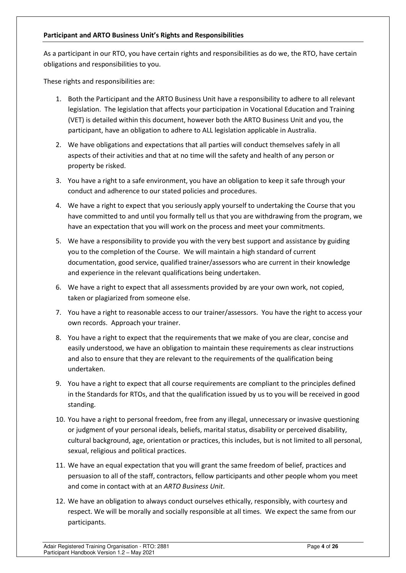#### <span id="page-3-0"></span>**Participant and ARTO Business Unit's Rights and Responsibilities**

As a participant in our RTO, you have certain rights and responsibilities as do we, the RTO, have certain obligations and responsibilities to you.

These rights and responsibilities are:

- 1. Both the Participant and the ARTO Business Unit have a responsibility to adhere to all relevant legislation. The legislation that affects your participation in Vocational Education and Training (VET) is detailed within this document, however both the ARTO Business Unit and you, the participant, have an obligation to adhere to ALL legislation applicable in Australia.
- 2. We have obligations and expectations that all parties will conduct themselves safely in all aspects of their activities and that at no time will the safety and health of any person or property be risked.
- 3. You have a right to a safe environment, you have an obligation to keep it safe through your conduct and adherence to our stated policies and procedures.
- 4. We have a right to expect that you seriously apply yourself to undertaking the Course that you have committed to and until you formally tell us that you are withdrawing from the program, we have an expectation that you will work on the process and meet your commitments.
- 5. We have a responsibility to provide you with the very best support and assistance by guiding you to the completion of the Course. We will maintain a high standard of current documentation, good service, qualified trainer/assessors who are current in their knowledge and experience in the relevant qualifications being undertaken.
- 6. We have a right to expect that all assessments provided by are your own work, not copied, taken or plagiarized from someone else.
- 7. You have a right to reasonable access to our trainer/assessors. You have the right to access your own records. Approach your trainer.
- 8. You have a right to expect that the requirements that we make of you are clear, concise and easily understood, we have an obligation to maintain these requirements as clear instructions and also to ensure that they are relevant to the requirements of the qualification being undertaken.
- 9. You have a right to expect that all course requirements are compliant to the principles defined in the Standards for RTOs, and that the qualification issued by us to you will be received in good standing.
- 10. You have a right to personal freedom, free from any illegal, unnecessary or invasive questioning or judgment of your personal ideals, beliefs, marital status, disability or perceived disability, cultural background, age, orientation or practices, this includes, but is not limited to all personal, sexual, religious and political practices.
- 11. We have an equal expectation that you will grant the same freedom of belief, practices and persuasion to all of the staff, contractors, fellow participants and other people whom you meet and come in contact with at an *ARTO Business Unit*.
- 12. We have an obligation to always conduct ourselves ethically, responsibly, with courtesy and respect. We will be morally and socially responsible at all times. We expect the same from our participants.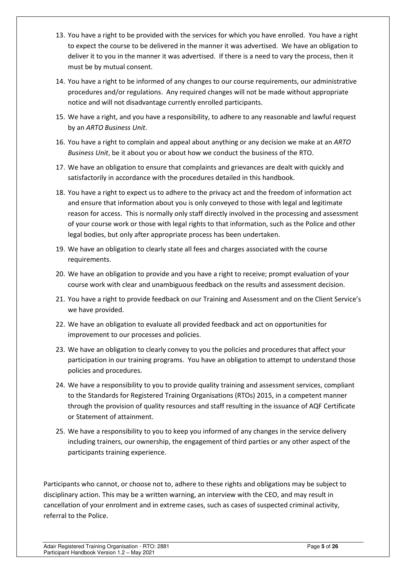- 13. You have a right to be provided with the services for which you have enrolled. You have a right to expect the course to be delivered in the manner it was advertised. We have an obligation to deliver it to you in the manner it was advertised. If there is a need to vary the process, then it must be by mutual consent.
- 14. You have a right to be informed of any changes to our course requirements, our administrative procedures and/or regulations. Any required changes will not be made without appropriate notice and will not disadvantage currently enrolled participants.
- 15. We have a right, and you have a responsibility, to adhere to any reasonable and lawful request by an *ARTO Business Unit*.
- 16. You have a right to complain and appeal about anything or any decision we make at an *ARTO Business Unit*, be it about you or about how we conduct the business of the RTO.
- 17. We have an obligation to ensure that complaints and grievances are dealt with quickly and satisfactorily in accordance with the procedures detailed in this handbook.
- 18. You have a right to expect us to adhere to the privacy act and the freedom of information act and ensure that information about you is only conveyed to those with legal and legitimate reason for access. This is normally only staff directly involved in the processing and assessment of your course work or those with legal rights to that information, such as the Police and other legal bodies, but only after appropriate process has been undertaken.
- 19. We have an obligation to clearly state all fees and charges associated with the course requirements.
- 20. We have an obligation to provide and you have a right to receive; prompt evaluation of your course work with clear and unambiguous feedback on the results and assessment decision.
- 21. You have a right to provide feedback on our Training and Assessment and on the Client Service's we have provided.
- 22. We have an obligation to evaluate all provided feedback and act on opportunities for improvement to our processes and policies.
- 23. We have an obligation to clearly convey to you the policies and procedures that affect your participation in our training programs. You have an obligation to attempt to understand those policies and procedures.
- 24. We have a responsibility to you to provide quality training and assessment services, compliant to the Standards for Registered Training Organisations (RTOs) 2015, in a competent manner through the provision of quality resources and staff resulting in the issuance of AQF Certificate or Statement of attainment.
- 25. We have a responsibility to you to keep you informed of any changes in the service delivery including trainers, our ownership, the engagement of third parties or any other aspect of the participants training experience.

Participants who cannot, or choose not to, adhere to these rights and obligations may be subject to disciplinary action. This may be a written warning, an interview with the CEO, and may result in cancellation of your enrolment and in extreme cases, such as cases of suspected criminal activity, referral to the Police.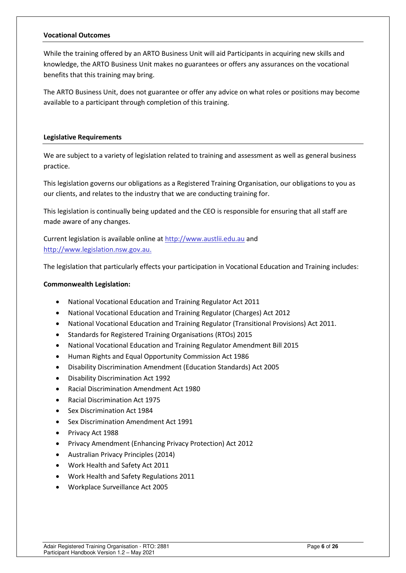#### <span id="page-5-0"></span>**Vocational Outcomes**

While the training offered by an ARTO Business Unit will aid Participants in acquiring new skills and knowledge, the ARTO Business Unit makes no guarantees or offers any assurances on the vocational benefits that this training may bring.

The ARTO Business Unit, does not guarantee or offer any advice on what roles or positions may become available to a participant through completion of this training.

#### <span id="page-5-1"></span>**Legislative Requirements**

We are subject to a variety of legislation related to training and assessment as well as general business practice.

This legislation governs our obligations as a Registered Training Organisation, our obligations to you as our clients, and relates to the industry that we are conducting training for.

This legislation is continually being updated and the CEO is responsible for ensuring that all staff are made aware of any changes.

Current legislation is available online at [http://www.austlii.edu.au](http://www.austli.edu.au/) and http:/[/www.legislation.nsw.gov.au.](http://www.legislation.nsw.gov.au/)

The legislation that particularly effects your participation in Vocational Education and Training includes:

#### **Commonwealth Legislation:**

- National Vocational Education and Training Regulator Act 2011
- National Vocational Education and Training Regulator (Charges) Act 2012
- National Vocational Education and Training Regulator (Transitional Provisions) Act 2011.
- Standards for Registered Training Organisations (RTOs) 2015
- National Vocational Education and Training Regulator Amendment Bill 2015
- Human Rights and Equal Opportunity Commission Act 1986
- Disability Discrimination Amendment (Education Standards) Act 2005
- Disability Discrimination Act 1992
- Racial Discrimination Amendment Act 1980
- Racial Discrimination Act 1975
- Sex Discrimination Act 1984
- Sex Discrimination Amendment Act 1991
- Privacy Act 1988
- Privacy Amendment (Enhancing Privacy Protection) Act 2012
- Australian Privacy Principles (2014)
- Work Health and Safety Act 2011
- Work Health and Safety Regulations 2011
- Workplace Surveillance Act 2005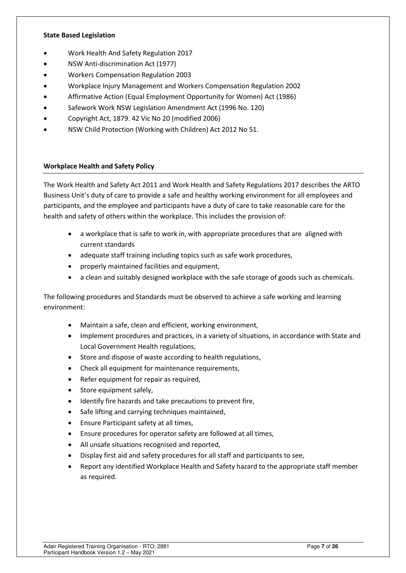#### **State Based Legislation**

- Work Health And Safety Regulation 2017
- NSW Anti-discrimination Act (1977)
- Workers Compensation Regulation 2003
- Workplace Injury Management and Workers Compensation Regulation 2002
- Affirmative Action (Equal Employment Opportunity for Women) Act (1986)
- Safework Work NSW Legislation Amendment Act (1996 No. 120)
- Copyright Act, 1879. 42 Vic No 20 (modified 2006)
- NSW Child Protection (Working with Children) Act 2012 No 51.

#### <span id="page-6-0"></span>**Workplace Health and Safety Policy**

The Work Health and Safety Act 2011 and Work Health and Safety Regulations 2017 describes the ARTO Business Unit's duty of care to provide a safe and healthy working environment for all employees and participants, and the employee and participants have a duty of care to take reasonable care for the health and safety of others within the workplace. This includes the provision of:

- a workplace that is safe to work in, with appropriate procedures that are aligned with current standards
- adequate staff training including topics such as safe work procedures,
- properly maintained facilities and equipment,
- a clean and suitably designed workplace with the safe storage of goods such as chemicals.

The following procedures and Standards must be observed to achieve a safe working and learning environment:

- Maintain a safe, clean and efficient, working environment,
- Implement procedures and practices, in a variety of situations, in accordance with State and Local Government Health regulations,
- Store and dispose of waste according to health regulations,
- Check all equipment for maintenance requirements,
- Refer equipment for repair as required,
- Store equipment safely,
- Identify fire hazards and take precautions to prevent fire,
- Safe lifting and carrying techniques maintained,
- Ensure Participant safety at all times,
- Ensure procedures for operator safety are followed at all times,
- All unsafe situations recognised and reported,
- Display first aid and safety procedures for all staff and participants to see,
- Report any identified Workplace Health and Safety hazard to the appropriate staff member as required.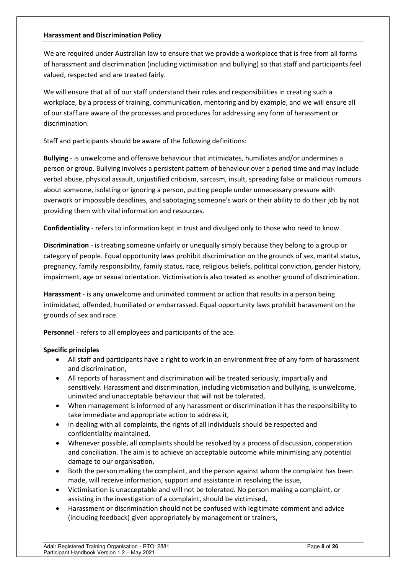#### <span id="page-7-0"></span>**Harassment and Discrimination Policy**

We are required under Australian law to ensure that we provide a workplace that is free from all forms of harassment and discrimination (including victimisation and bullying) so that staff and participants feel valued, respected and are treated fairly.

We will ensure that all of our staff understand their roles and responsibilities in creating such a workplace, by a process of training, communication, mentoring and by example, and we will ensure all of our staff are aware of the processes and procedures for addressing any form of harassment or discrimination.

Staff and participants should be aware of the following definitions:

**Bullying** - is unwelcome and offensive behaviour that intimidates, humiliates and/or undermines a person or group. Bullying involves a persistent pattern of behaviour over a period time and may include verbal abuse, physical assault, unjustified criticism, sarcasm, insult, spreading false or malicious rumours about someone, isolating or ignoring a person, putting people under unnecessary pressure with overwork or impossible deadlines, and sabotaging someone's work or their ability to do their job by not providing them with vital information and resources.

**Confidentiality** - refers to information kept in trust and divulged only to those who need to know.

**Discrimination** - is treating someone unfairly or unequally simply because they belong to a group or category of people. Equal opportunity laws prohibit discrimination on the grounds of sex, marital status, pregnancy, family responsibility, family status, race, religious beliefs, political conviction, gender history, impairment, age or sexual orientation. Victimisation is also treated as another ground of discrimination.

**Harassment** - is any unwelcome and uninvited comment or action that results in a person being intimidated, offended, humiliated or embarrassed. Equal opportunity laws prohibit harassment on the grounds of sex and race.

**Personnel** - refers to all employees and participants of the ace.

## **Specific principles**

- All staff and participants have a right to work in an environment free of any form of harassment and discrimination,
- All reports of harassment and discrimination will be treated seriously, impartially and sensitively. Harassment and discrimination, including victimisation and bullying, is unwelcome, uninvited and unacceptable behaviour that will not be tolerated,
- When management is informed of any harassment or discrimination it has the responsibility to take immediate and appropriate action to address it,
- In dealing with all complaints, the rights of all individuals should be respected and confidentiality maintained,
- Whenever possible, all complaints should be resolved by a process of discussion, cooperation and conciliation. The aim is to achieve an acceptable outcome while minimising any potential damage to our organisation,
- Both the person making the complaint, and the person against whom the complaint has been made, will receive information, support and assistance in resolving the issue,
- Victimisation is unacceptable and will not be tolerated. No person making a complaint, or assisting in the investigation of a complaint, should be victimised,
- Harassment or discrimination should not be confused with legitimate comment and advice (including feedback) given appropriately by management or trainers,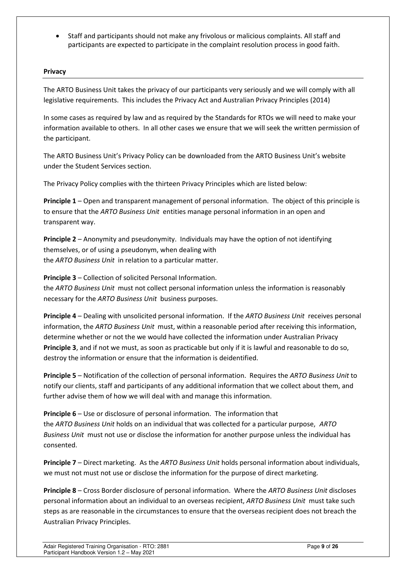• Staff and participants should not make any frivolous or malicious complaints. All staff and participants are expected to participate in the complaint resolution process in good faith.

### <span id="page-8-0"></span>**Privacy**

The ARTO Business Unit takes the privacy of our participants very seriously and we will comply with all legislative requirements. This includes the Privacy Act and Australian Privacy Principles (2014)

In some cases as required by law and as required by the Standards for RTOs we will need to make your information available to others. In all other cases we ensure that we will seek the written permission of the participant.

The ARTO Business Unit's Privacy Policy can be downloaded from the ARTO Business Unit's website under the Student Services section.

The Privacy Policy complies with the thirteen Privacy Principles which are listed below:

**Principle 1** – Open and transparent management of personal information. The object of this principle is to ensure that the *ARTO Business Unit* entities manage personal information in an open and transparent way.

**Principle 2** – Anonymity and pseudonymity. Individuals may have the option of not identifying themselves, or of using a pseudonym, when dealing with the *ARTO Business Unit* in relation to a particular matter.

**Principle 3** – Collection of solicited Personal Information.

the *ARTO Business Unit* must not collect personal information unless the information is reasonably necessary for the *ARTO Business Unit* business purposes.

**Principle 4** – Dealing with unsolicited personal information. If the *ARTO Business Unit* receives personal information, the *ARTO Business Unit* must, within a reasonable period after receiving this information, determine whether or not the we would have collected the information under Australian Privacy **Principle 3**, and if not we must, as soon as practicable but only if it is lawful and reasonable to do so, destroy the information or ensure that the information is deidentified.

**Principle 5** – Notification of the collection of personal information. Requires the *ARTO Business Unit* to notify our clients, staff and participants of any additional information that we collect about them, and further advise them of how we will deal with and manage this information.

**Principle 6** – Use or disclosure of personal information. The information that the *ARTO Business Unit* holds on an individual that was collected for a particular purpose, *ARTO Business Unit* must not use or disclose the information for another purpose unless the individual has consented.

**Principle 7** – Direct marketing. As the *ARTO Business Unit* holds personal information about individuals, we must not must not use or disclose the information for the purpose of direct marketing.

**Principle 8** – Cross Border disclosure of personal information. Where the *ARTO Business Unit* discloses personal information about an individual to an overseas recipient, *ARTO Business Unit* must take such steps as are reasonable in the circumstances to ensure that the overseas recipient does not breach the Australian Privacy Principles.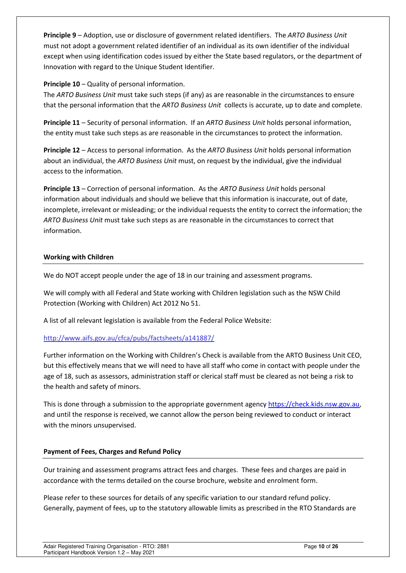**Principle 9** – Adoption, use or disclosure of government related identifiers. The *ARTO Business Unit* must not adopt a government related identifier of an individual as its own identifier of the individual except when using identification codes issued by either the State based regulators, or the department of Innovation with regard to the Unique Student Identifier.

# **Principle 10** – Quality of personal information.

The *ARTO Business Unit* must take such steps (if any) as are reasonable in the circumstances to ensure that the personal information that the *ARTO Business Unit* collects is accurate, up to date and complete.

**Principle 11** – Security of personal information. If an *ARTO Business Unit* holds personal information, the entity must take such steps as are reasonable in the circumstances to protect the information.

**Principle 12** – Access to personal information. As the *ARTO Business Unit* holds personal information about an individual, the *ARTO Business Unit* must, on request by the individual, give the individual access to the information.

**Principle 13** – Correction of personal information. As the *ARTO Business Unit* holds personal information about individuals and should we believe that this information is inaccurate, out of date, incomplete, irrelevant or misleading; or the individual requests the entity to correct the information; the *ARTO Business Unit* must take such steps as are reasonable in the circumstances to correct that information.

# <span id="page-9-0"></span>**Working with Children**

We do NOT accept people under the age of 18 in our training and assessment programs.

We will comply with all Federal and State working with Children legislation such as the NSW Child Protection (Working with Children) Act 2012 No 51.

A list of all relevant legislation is available from the Federal Police Website:

# <http://www.aifs.gov.au/cfca/pubs/factsheets/a141887/>

Further information on the Working with Children's Check is available from the ARTO Business Unit CEO, but this effectively means that we will need to have all staff who come in contact with people under the age of 18, such as assessors, administration staff or clerical staff must be cleared as not being a risk to the health and safety of minors.

This is done through a submission to the appropriate government agency [https://check.kids.nsw.gov.au,](https://check.kids.nsw.gov.au/) and until the response is received, we cannot allow the person being reviewed to conduct or interact with the minors unsupervised.

## <span id="page-9-1"></span>**Payment of Fees, Charges and Refund Policy**

Our training and assessment programs attract fees and charges. These fees and charges are paid in accordance with the terms detailed on the course brochure, website and enrolment form.

Please refer to these sources for details of any specific variation to our standard refund policy. Generally, payment of fees, up to the statutory allowable limits as prescribed in the RTO Standards are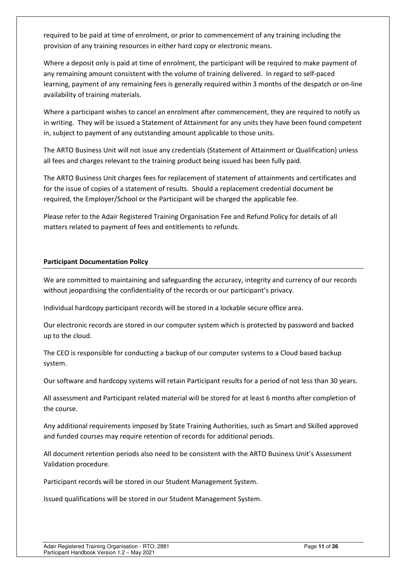required to be paid at time of enrolment, or prior to commencement of any training including the provision of any training resources in either hard copy or electronic means.

Where a deposit only is paid at time of enrolment, the participant will be required to make payment of any remaining amount consistent with the volume of training delivered. In regard to self-paced learning, payment of any remaining fees is generally required within 3 months of the despatch or on-line availability of training materials.

Where a participant wishes to cancel an enrolment after commencement, they are required to notify us in writing. They will be issued a Statement of Attainment for any units they have been found competent in, subject to payment of any outstanding amount applicable to those units.

The ARTO Business Unit will not issue any credentials (Statement of Attainment or Qualification) unless all fees and charges relevant to the training product being issued has been fully paid.

The ARTO Business Unit charges fees for replacement of statement of attainments and certificates and for the issue of copies of a statement of results. Should a replacement credential document be required, the Employer/School or the Participant will be charged the applicable fee.

Please refer to the Adair Registered Training Organisation Fee and Refund Policy for details of all matters related to payment of fees and entitlements to refunds.

## <span id="page-10-0"></span>**Participant Documentation Policy**

We are committed to maintaining and safeguarding the accuracy, integrity and currency of our records without jeopardising the confidentiality of the records or our participant's privacy.

Individual hardcopy participant records will be stored in a lockable secure office area.

Our electronic records are stored in our computer system which is protected by password and backed up to the cloud.

The CEO is responsible for conducting a backup of our computer systems to a Cloud based backup system.

Our software and hardcopy systems will retain Participant results for a period of not less than 30 years.

All assessment and Participant related material will be stored for at least 6 months after completion of the course.

Any additional requirements imposed by State Training Authorities, such as Smart and Skilled approved and funded courses may require retention of records for additional periods.

All document retention periods also need to be consistent with the ARTO Business Unit's Assessment Validation procedure.

Participant records will be stored in our Student Management System.

Issued qualifications will be stored in our Student Management System.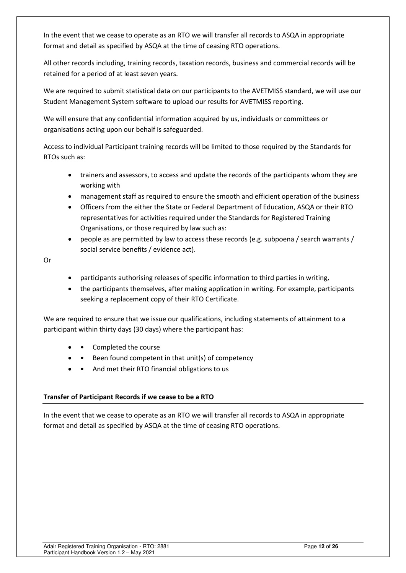In the event that we cease to operate as an RTO we will transfer all records to ASQA in appropriate format and detail as specified by ASQA at the time of ceasing RTO operations.

All other records including, training records, taxation records, business and commercial records will be retained for a period of at least seven years.

We are required to submit statistical data on our participants to the AVETMISS standard, we will use our Student Management System software to upload our results for AVETMISS reporting.

We will ensure that any confidential information acquired by us, individuals or committees or organisations acting upon our behalf is safeguarded.

Access to individual Participant training records will be limited to those required by the Standards for RTOs such as:

- trainers and assessors, to access and update the records of the participants whom they are working with
- management staff as required to ensure the smooth and efficient operation of the business
- Officers from the either the State or Federal Department of Education, ASQA or their RTO representatives for activities required under the Standards for Registered Training Organisations, or those required by law such as:
- people as are permitted by law to access these records (e.g. subpoena / search warrants / social service benefits / evidence act).

Or

- participants authorising releases of specific information to third parties in writing,
- the participants themselves, after making application in writing. For example, participants seeking a replacement copy of their RTO Certificate.

We are required to ensure that we issue our qualifications, including statements of attainment to a participant within thirty days (30 days) where the participant has:

- Completed the course
- Been found competent in that unit(s) of competency
- And met their RTO financial obligations to us

## <span id="page-11-0"></span>**Transfer of Participant Records if we cease to be a RTO**

In the event that we cease to operate as an RTO we will transfer all records to ASQA in appropriate format and detail as specified by ASQA at the time of ceasing RTO operations.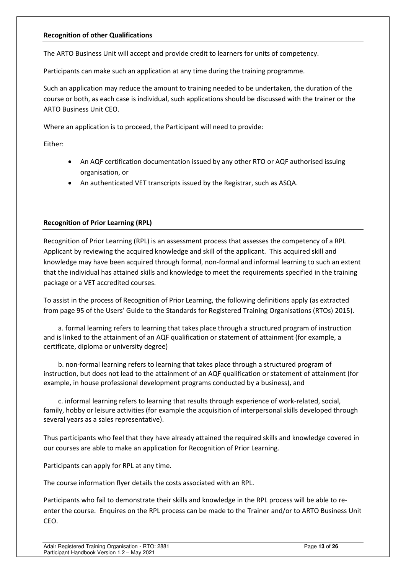#### <span id="page-12-0"></span>**Recognition of other Qualifications**

The ARTO Business Unit will accept and provide credit to learners for units of competency.

Participants can make such an application at any time during the training programme.

Such an application may reduce the amount to training needed to be undertaken, the duration of the course or both, as each case is individual, such applications should be discussed with the trainer or the ARTO Business Unit CEO.

Where an application is to proceed, the Participant will need to provide:

Either:

- An AQF certification documentation issued by any other RTO or AQF authorised issuing organisation, or
- An authenticated VET transcripts issued by the Registrar, such as ASQA.

## <span id="page-12-1"></span>**Recognition of Prior Learning (RPL)**

Recognition of Prior Learning (RPL) is an assessment process that assesses the competency of a RPL Applicant by reviewing the acquired knowledge and skill of the applicant. This acquired skill and knowledge may have been acquired through formal, non-formal and informal learning to such an extent that the individual has attained skills and knowledge to meet the requirements specified in the training package or a VET accredited courses.

To assist in the process of Recognition of Prior Learning, the following definitions apply (as extracted from page 95 of the Users' Guide to the Standards for Registered Training Organisations (RTOs) 2015).

a. formal learning refers to learning that takes place through a structured program of instruction and is linked to the attainment of an AQF qualification or statement of attainment (for example, a certificate, diploma or university degree)

b. non-formal learning refers to learning that takes place through a structured program of instruction, but does not lead to the attainment of an AQF qualification or statement of attainment (for example, in house professional development programs conducted by a business), and

c. informal learning refers to learning that results through experience of work-related, social, family, hobby or leisure activities (for example the acquisition of interpersonal skills developed through several years as a sales representative).

Thus participants who feel that they have already attained the required skills and knowledge covered in our courses are able to make an application for Recognition of Prior Learning.

Participants can apply for RPL at any time.

The course information flyer details the costs associated with an RPL.

Participants who fail to demonstrate their skills and knowledge in the RPL process will be able to reenter the course. Enquires on the RPL process can be made to the Trainer and/or to ARTO Business Unit CEO.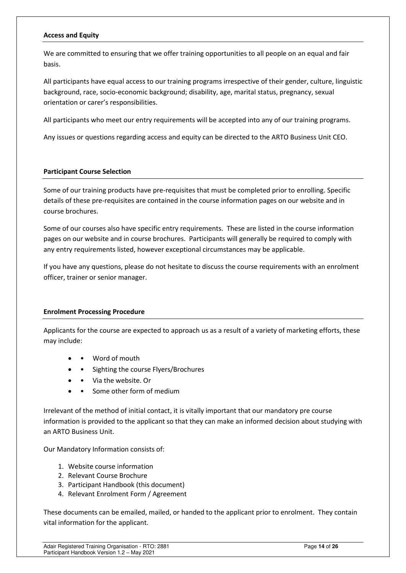#### <span id="page-13-0"></span>**Access and Equity**

We are committed to ensuring that we offer training opportunities to all people on an equal and fair basis.

All participants have equal access to our training programs irrespective of their gender, culture, linguistic background, race, socio-economic background; disability, age, marital status, pregnancy, sexual orientation or carer's responsibilities.

All participants who meet our entry requirements will be accepted into any of our training programs.

Any issues or questions regarding access and equity can be directed to the ARTO Business Unit CEO.

#### <span id="page-13-1"></span>**Participant Course Selection**

Some of our training products have pre-requisites that must be completed prior to enrolling. Specific details of these pre-requisites are contained in the course information pages on our website and in course brochures.

Some of our courses also have specific entry requirements. These are listed in the course information pages on our website and in course brochures. Participants will generally be required to comply with any entry requirements listed, however exceptional circumstances may be applicable.

If you have any questions, please do not hesitate to discuss the course requirements with an enrolment officer, trainer or senior manager.

#### <span id="page-13-2"></span>**Enrolment Processing Procedure**

Applicants for the course are expected to approach us as a result of a variety of marketing efforts, these may include:

- Word of mouth
- • Sighting the course Flyers/Brochures
- • Via the website. Or
- Some other form of medium

Irrelevant of the method of initial contact, it is vitally important that our mandatory pre course information is provided to the applicant so that they can make an informed decision about studying with an ARTO Business Unit.

Our Mandatory Information consists of:

- 1. Website course information
- 2. Relevant Course Brochure
- 3. Participant Handbook (this document)
- 4. Relevant Enrolment Form / Agreement

These documents can be emailed, mailed, or handed to the applicant prior to enrolment. They contain vital information for the applicant.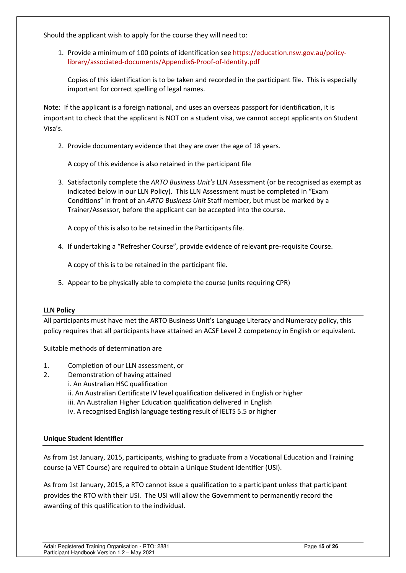Should the applicant wish to apply for the course they will need to:

1. Provide a minimum of 100 points of identification se[e https://education.nsw.gov.au/policy](https://education.nsw.gov.au/policy-library/associated-documents/Appendix6-Proof-of-Identity.pdf)[library/associated-documents/Appendix6-Proof-of-Identity.pdf](https://education.nsw.gov.au/policy-library/associated-documents/Appendix6-Proof-of-Identity.pdf) 

Copies of this identification is to be taken and recorded in the participant file. This is especially important for correct spelling of legal names.

Note: If the applicant is a foreign national, and uses an overseas passport for identification, it is important to check that the applicant is NOT on a student visa, we cannot accept applicants on Student Visa's.

2. Provide documentary evidence that they are over the age of 18 years.

A copy of this evidence is also retained in the participant file

3. Satisfactorily complete the *ARTO Business Unit's* LLN Assessment (or be recognised as exempt as indicated below in our LLN Policy). This LLN Assessment must be completed in "Exam Conditions" in front of an *ARTO Business Unit* Staff member, but must be marked by a Trainer/Assessor, before the applicant can be accepted into the course.

A copy of this is also to be retained in the Participants file.

4. If undertaking a "Refresher Course", provide evidence of relevant pre-requisite Course.

A copy of this is to be retained in the participant file.

5. Appear to be physically able to complete the course (units requiring CPR)

#### <span id="page-14-0"></span>**LLN Policy**

All participants must have met the ARTO Business Unit's Language Literacy and Numeracy policy, this policy requires that all participants have attained an ACSF Level 2 competency in English or equivalent.

Suitable methods of determination are

- 1. Completion of our LLN assessment, or
- 2. Demonstration of having attained
	- i. An Australian HSC qualification
		- ii. An Australian Certificate IV level qualification delivered in English or higher
		- iii. An Australian Higher Education qualification delivered in English
		- iv. A recognised English language testing result of IELTS 5.5 or higher

#### <span id="page-14-1"></span>**Unique Student Identifier**

As from 1st January, 2015, participants, wishing to graduate from a Vocational Education and Training course (a VET Course) are required to obtain a Unique Student Identifier (USI).

As from 1st January, 2015, a RTO cannot issue a qualification to a participant unless that participant provides the RTO with their USI. The USI will allow the Government to permanently record the awarding of this qualification to the individual.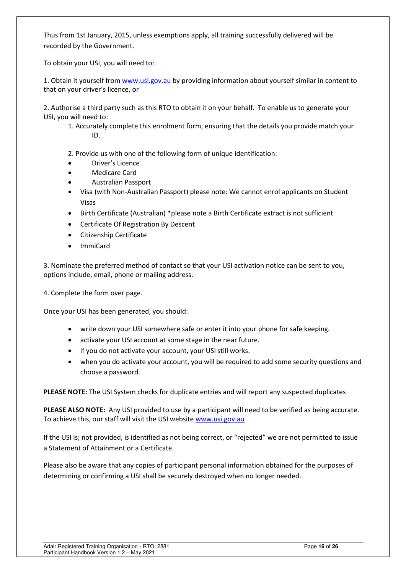Thus from 1st January, 2015, unless exemptions apply, all training successfully delivered will be recorded by the Government.

To obtain your USI, you will need to:

1. Obtain it yourself from [www.usi.gov.au](http://www.usi.gov.au/) by providing information about yourself similar in content to that on your driver's licence, or

2. Authorise a third party such as this RTO to obtain it on your behalf. To enable us to generate your USI, you will need to:

1. Accurately complete this enrolment form, ensuring that the details you provide match your ID.

2. Provide us with one of the following form of unique identification:

- Driver's Licence
- Medicare Card
- Australian Passport
- Visa (with Non-Australian Passport) please note: We cannot enrol applicants on Student Visas
- Birth Certificate (Australian) \*please note a Birth Certificate extract is not sufficient
- Certificate Of Registration By Descent
- Citizenship Certificate
- ImmiCard

3. Nominate the preferred method of contact so that your USI activation notice can be sent to you, options include, email, phone or mailing address.

4. Complete the form over page.

Once your USI has been generated, you should:

- write down your USI somewhere safe or enter it into your phone for safe keeping.
- activate your USI account at some stage in the near future.
- if you do not activate your account, your USI still works.
- when you do activate your account, you will be required to add some security questions and choose a password.

**PLEASE NOTE:** The USI System checks for duplicate entries and will report any suspected duplicates

**PLEASE ALSO NOTE:** Any USI provided to use by a participant will need to be verified as being accurate. To achieve this, our staff will visit the USI websit[e www.usi.gov.au](http://www.usi.gov.au/) 

If the USI is; not provided, is identified as not being correct, or "rejected" we are not permitted to issue a Statement of Attainment or a Certificate.

Please also be aware that any copies of participant personal information obtained for the purposes of determining or confirming a USI shall be securely destroyed when no longer needed.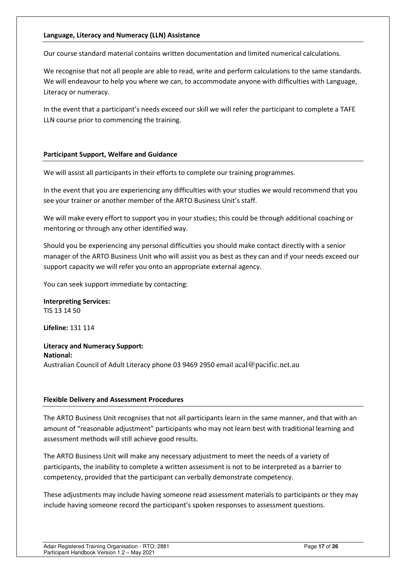#### <span id="page-16-0"></span>**Language, Literacy and Numeracy (LLN) Assistance**

Our course standard material contains written documentation and limited numerical calculations.

We recognise that not all people are able to read, write and perform calculations to the same standards. We will endeavour to help you where we can, to accommodate anyone with difficulties with Language, Literacy or numeracy.

In the event that a participant's needs exceed our skill we will refer the participant to complete a TAFE LLN course prior to commencing the training.

#### <span id="page-16-1"></span>**Participant Support, Welfare and Guidance**

We will assist all participants in their efforts to complete our training programmes.

In the event that you are experiencing any difficulties with your studies we would recommend that you see your trainer or another member of the ARTO Business Unit's staff.

We will make every effort to support you in your studies; this could be through additional coaching or mentoring or through any other identified way.

Should you be experiencing any personal difficulties you should make contact directly with a senior manager of the ARTO Business Unit who will assist you as best as they can and if your needs exceed our support capacity we will refer you onto an appropriate external agency.

You can seek support immediate by contacting:

**Interpreting Services:**  TIS 13 14 50

**Lifeline:** 131 114

#### **Literacy and Numeracy Support: National:**  Australian Council of Adult Literacy phone 03 9469 2950 email [acal@pacific.net.au](mailto:acal@pacific.net.au)

## <span id="page-16-2"></span>**Flexible Delivery and Assessment Procedures**

The ARTO Business Unit recognises that not all participants learn in the same manner, and that with an amount of "reasonable adjustment" participants who may not learn best with traditional learning and assessment methods will still achieve good results.

The ARTO Business Unit will make any necessary adjustment to meet the needs of a variety of participants, the inability to complete a written assessment is not to be interpreted as a barrier to competency, provided that the participant can verbally demonstrate competency.

These adjustments may include having someone read assessment materials to participants or they may include having someone record the participant's spoken responses to assessment questions.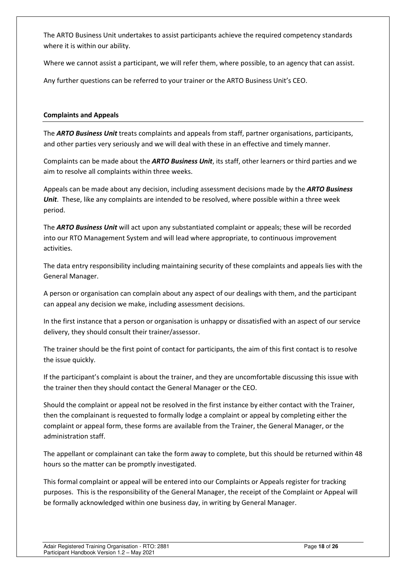The ARTO Business Unit undertakes to assist participants achieve the required competency standards where it is within our ability.

Where we cannot assist a participant, we will refer them, where possible, to an agency that can assist.

Any further questions can be referred to your trainer or the ARTO Business Unit's CEO.

## <span id="page-17-0"></span>**Complaints and Appeals**

The *ARTO Business Unit* treats complaints and appeals from staff, partner organisations, participants, and other parties very seriously and we will deal with these in an effective and timely manner.

Complaints can be made about the *ARTO Business Unit*, its staff, other learners or third parties and we aim to resolve all complaints within three weeks.

Appeals can be made about any decision, including assessment decisions made by the *ARTO Business Unit*. These, like any complaints are intended to be resolved, where possible within a three week period.

The *ARTO Business Unit* will act upon any substantiated complaint or appeals; these will be recorded into our RTO Management System and will lead where appropriate, to continuous improvement activities.

The data entry responsibility including maintaining security of these complaints and appeals lies with the General Manager.

A person or organisation can complain about any aspect of our dealings with them, and the participant can appeal any decision we make, including assessment decisions.

In the first instance that a person or organisation is unhappy or dissatisfied with an aspect of our service delivery, they should consult their trainer/assessor.

The trainer should be the first point of contact for participants, the aim of this first contact is to resolve the issue quickly.

If the participant's complaint is about the trainer, and they are uncomfortable discussing this issue with the trainer then they should contact the General Manager or the CEO.

Should the complaint or appeal not be resolved in the first instance by either contact with the Trainer, then the complainant is requested to formally lodge a complaint or appeal by completing either the complaint or appeal form, these forms are available from the Trainer, the General Manager, or the administration staff.

The appellant or complainant can take the form away to complete, but this should be returned within 48 hours so the matter can be promptly investigated.

This formal complaint or appeal will be entered into our Complaints or Appeals register for tracking purposes. This is the responsibility of the General Manager, the receipt of the Complaint or Appeal will be formally acknowledged within one business day, in writing by General Manager.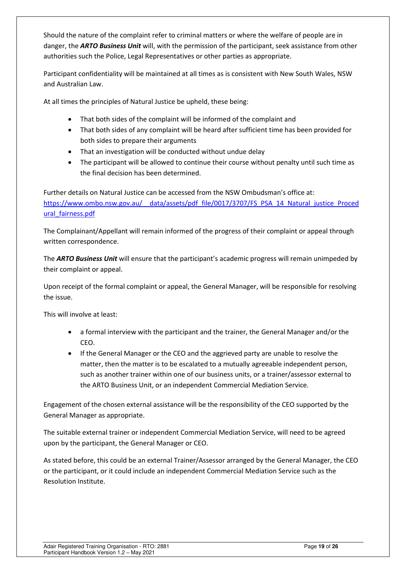Should the nature of the complaint refer to criminal matters or where the welfare of people are in danger, the *ARTO Business Unit* will, with the permission of the participant, seek assistance from other authorities such the Police, Legal Representatives or other parties as appropriate.

Participant confidentiality will be maintained at all times as is consistent with New South Wales, NSW and Australian Law.

At all times the principles of Natural Justice be upheld, these being:

- That both sides of the complaint will be informed of the complaint and
- That both sides of any complaint will be heard after sufficient time has been provided for both sides to prepare their arguments
- That an investigation will be conducted without undue delay
- The participant will be allowed to continue their course without penalty until such time as the final decision has been determined.

Further details on Natural Justice can be accessed from the NSW Ombudsman's office at: https://www.ombo.nsw.gov.au/ data/assets/pdf file/0017/3707/FS\_PSA\_14\_Natural\_justice\_Proced [ural\\_fairness.pdf](https://www.ombo.nsw.gov.au/__data/assets/pdf_file/0017/3707/FS_PSA_14_Natural_justice_Procedural_fairness.pdf) 

The Complainant/Appellant will remain informed of the progress of their complaint or appeal through written correspondence.

The *ARTO Business Unit* will ensure that the participant's academic progress will remain unimpeded by their complaint or appeal.

Upon receipt of the formal complaint or appeal, the General Manager, will be responsible for resolving the issue.

This will involve at least:

- a formal interview with the participant and the trainer, the General Manager and/or the CEO.
- If the General Manager or the CEO and the aggrieved party are unable to resolve the matter, then the matter is to be escalated to a mutually agreeable independent person, such as another trainer within one of our business units, or a trainer/assessor external to the ARTO Business Unit, or an independent Commercial Mediation Service.

Engagement of the chosen external assistance will be the responsibility of the CEO supported by the General Manager as appropriate.

The suitable external trainer or independent Commercial Mediation Service, will need to be agreed upon by the participant, the General Manager or CEO.

As stated before, this could be an external Trainer/Assessor arranged by the General Manager, the CEO or the participant, or it could include an independent Commercial Mediation Service such as the Resolution Institute.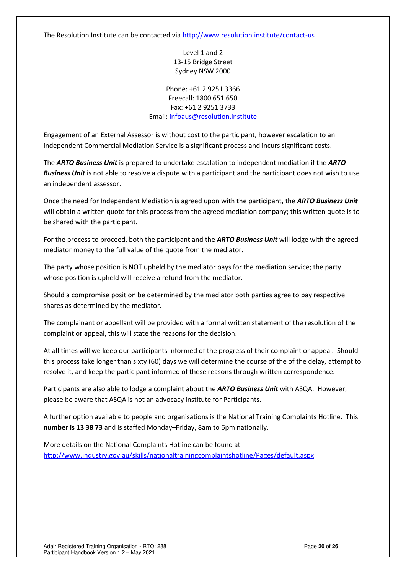The Resolution Institute can be contacted vi[a http://www.resolution.institute/contact-us](http://www.resolution.institute/contact-us) 

Level 1 and 2 13-15 Bridge Street Sydney NSW 2000

Phone: +61 2 9251 3366 Freecall: 1800 651 650 Fax: +61 2 9251 3733 Email[: infoaus@resolution.institute](mailto:infoaus@resolution.institute)

Engagement of an External Assessor is without cost to the participant, however escalation to an independent Commercial Mediation Service is a significant process and incurs significant costs.

The *ARTO Business Unit* is prepared to undertake escalation to independent mediation if the *ARTO Business Unit* is not able to resolve a dispute with a participant and the participant does not wish to use an independent assessor.

Once the need for Independent Mediation is agreed upon with the participant, the *ARTO Business Unit* will obtain a written quote for this process from the agreed mediation company; this written quote is to be shared with the participant.

For the process to proceed, both the participant and the *ARTO Business Unit* will lodge with the agreed mediator money to the full value of the quote from the mediator.

The party whose position is NOT upheld by the mediator pays for the mediation service; the party whose position is upheld will receive a refund from the mediator.

Should a compromise position be determined by the mediator both parties agree to pay respective shares as determined by the mediator.

The complainant or appellant will be provided with a formal written statement of the resolution of the complaint or appeal, this will state the reasons for the decision.

At all times will we keep our participants informed of the progress of their complaint or appeal. Should this process take longer than sixty (60) days we will determine the course of the of the delay, attempt to resolve it, and keep the participant informed of these reasons through written correspondence.

Participants are also able to lodge a complaint about the *ARTO Business Unit* with ASQA. However, please be aware that ASQA is not an advocacy institute for Participants.

A further option available to people and organisations is the National Training Complaints Hotline. This **number is 13 38 73** and is staffed Monday–Friday, 8am to 6pm nationally.

More details on the National Complaints Hotline can be found at <http://www.industry.gov.au/skills/nationaltrainingcomplaintshotline/Pages/default.aspx>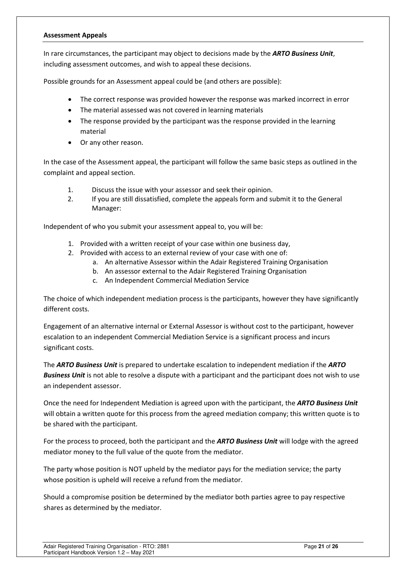#### <span id="page-20-0"></span>**Assessment Appeals**

In rare circumstances, the participant may object to decisions made by the *ARTO Business Unit*, including assessment outcomes, and wish to appeal these decisions.

Possible grounds for an Assessment appeal could be (and others are possible):

- The correct response was provided however the response was marked incorrect in error
- The material assessed was not covered in learning materials
- The response provided by the participant was the response provided in the learning material
- Or any other reason.

In the case of the Assessment appeal, the participant will follow the same basic steps as outlined in the complaint and appeal section.

- 1. Discuss the issue with your assessor and seek their opinion.
- 2. If you are still dissatisfied, complete the appeals form and submit it to the General Manager:

Independent of who you submit your assessment appeal to, you will be:

- 1. Provided with a written receipt of your case within one business day,
- 2. Provided with access to an external review of your case with one of:
	- a. An alternative Assessor within the Adair Registered Training Organisation
	- b. An assessor external to the Adair Registered Training Organisation
	- c. An Independent Commercial Mediation Service

The choice of which independent mediation process is the participants, however they have significantly different costs.

Engagement of an alternative internal or External Assessor is without cost to the participant, however escalation to an independent Commercial Mediation Service is a significant process and incurs significant costs.

The *ARTO Business Unit* is prepared to undertake escalation to independent mediation if the *ARTO Business Unit* is not able to resolve a dispute with a participant and the participant does not wish to use an independent assessor.

Once the need for Independent Mediation is agreed upon with the participant, the *ARTO Business Unit* will obtain a written quote for this process from the agreed mediation company; this written quote is to be shared with the participant.

For the process to proceed, both the participant and the *ARTO Business Unit* will lodge with the agreed mediator money to the full value of the quote from the mediator.

The party whose position is NOT upheld by the mediator pays for the mediation service; the party whose position is upheld will receive a refund from the mediator.

Should a compromise position be determined by the mediator both parties agree to pay respective shares as determined by the mediator.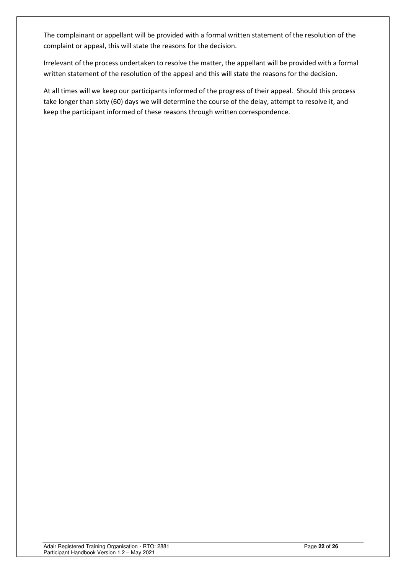The complainant or appellant will be provided with a formal written statement of the resolution of the complaint or appeal, this will state the reasons for the decision.

Irrelevant of the process undertaken to resolve the matter, the appellant will be provided with a formal written statement of the resolution of the appeal and this will state the reasons for the decision.

At all times will we keep our participants informed of the progress of their appeal. Should this process take longer than sixty (60) days we will determine the course of the delay, attempt to resolve it, and keep the participant informed of these reasons through written correspondence.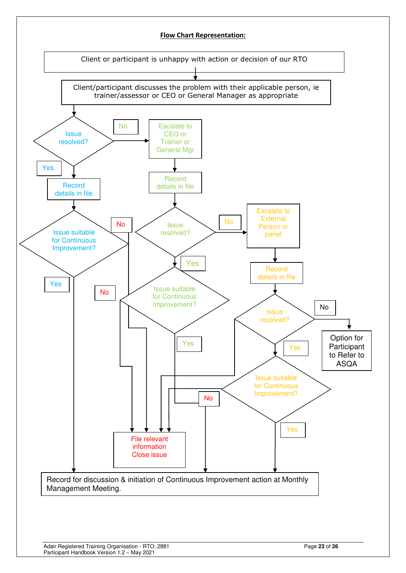<span id="page-22-0"></span>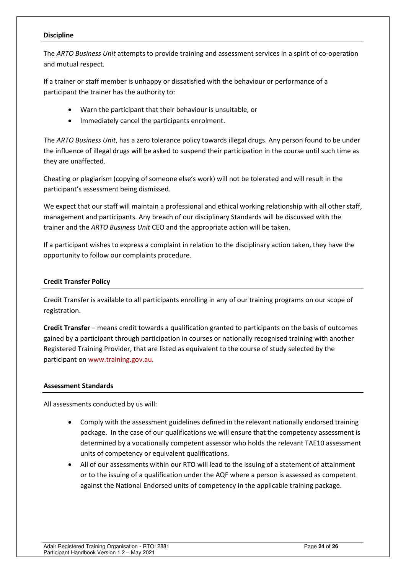#### **Discipline**

The *ARTO Business Unit* attempts to provide training and assessment services in a spirit of co-operation and mutual respect.

If a trainer or staff member is unhappy or dissatisfied with the behaviour or performance of a participant the trainer has the authority to:

- Warn the participant that their behaviour is unsuitable, or
- Immediately cancel the participants enrolment.

The *ARTO Business Unit*, has a zero tolerance policy towards illegal drugs. Any person found to be under the influence of illegal drugs will be asked to suspend their participation in the course until such time as they are unaffected.

Cheating or plagiarism (copying of someone else's work) will not be tolerated and will result in the participant's assessment being dismissed.

We expect that our staff will maintain a professional and ethical working relationship with all other staff, management and participants. Any breach of our disciplinary Standards will be discussed with the trainer and the *ARTO Business Unit* CEO and the appropriate action will be taken.

If a participant wishes to express a complaint in relation to the disciplinary action taken, they have the opportunity to follow our complaints procedure.

## <span id="page-23-0"></span>**Credit Transfer Policy**

Credit Transfer is available to all participants enrolling in any of our training programs on our scope of registration.

**Credit Transfer** – means credit towards a qualification granted to participants on the basis of outcomes gained by a participant through participation in courses or nationally recognised training with another Registered Training Provider, that are listed as equivalent to the course of study selected by the participant on [www.training.gov.au.](http://www.training.gov.au/)

## <span id="page-23-1"></span>**Assessment Standards**

All assessments conducted by us will:

- Comply with the assessment guidelines defined in the relevant nationally endorsed training package. In the case of our qualifications we will ensure that the competency assessment is determined by a vocationally competent assessor who holds the relevant TAE10 assessment units of competency or equivalent qualifications.
- All of our assessments within our RTO will lead to the issuing of a statement of attainment or to the issuing of a qualification under the AQF where a person is assessed as competent against the National Endorsed units of competency in the applicable training package.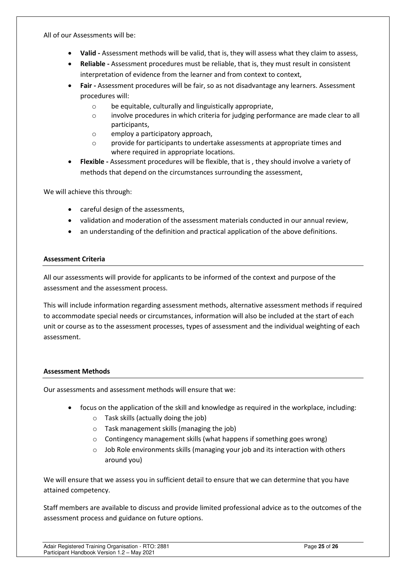All of our Assessments will be:

- **Valid** Assessment methods will be valid, that is, they will assess what they claim to assess,
- **Reliable** Assessment procedures must be reliable, that is, they must result in consistent interpretation of evidence from the learner and from context to context,
- **Fair** Assessment procedures will be fair, so as not disadvantage any learners. Assessment procedures will:
	- o be equitable, culturally and linguistically appropriate,
	- o involve procedures in which criteria for judging performance are made clear to all participants,
	- o employ a participatory approach,
	- o provide for participants to undertake assessments at appropriate times and where required in appropriate locations.
- **Flexible** Assessment procedures will be flexible, that is , they should involve a variety of methods that depend on the circumstances surrounding the assessment,

We will achieve this through:

- careful design of the assessments,
- validation and moderation of the assessment materials conducted in our annual review,
- an understanding of the definition and practical application of the above definitions.

## <span id="page-24-0"></span>**Assessment Criteria**

All our assessments will provide for applicants to be informed of the context and purpose of the assessment and the assessment process.

This will include information regarding assessment methods, alternative assessment methods if required to accommodate special needs or circumstances, information will also be included at the start of each unit or course as to the assessment processes, types of assessment and the individual weighting of each assessment.

## <span id="page-24-1"></span>**Assessment Methods**

Our assessments and assessment methods will ensure that we:

- focus on the application of the skill and knowledge as required in the workplace, including:
	- o Task skills (actually doing the job)
	- o Task management skills (managing the job)
	- o Contingency management skills (what happens if something goes wrong)
	- o Job Role environments skills (managing your job and its interaction with others around you)

We will ensure that we assess you in sufficient detail to ensure that we can determine that you have attained competency.

Staff members are available to discuss and provide limited professional advice as to the outcomes of the assessment process and guidance on future options.